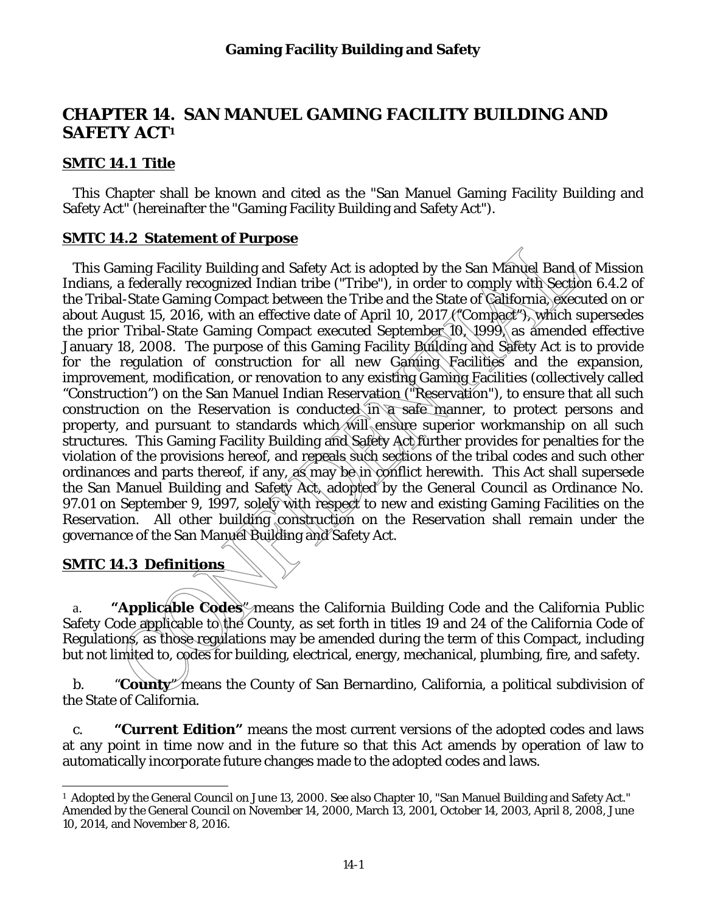# **CHAPTER 14. SAN MANUEL GAMING FACILITY BUILDING AND SAFETY ACT1**

### **SMTC 14.1 Title**

This Chapter shall be known and cited as the "San Manuel Gaming Facility Building and Safety Act" (hereinafter the "Gaming Facility Building and Safety Act").

#### **SMTC 14.2 Statement of Purpose**

This Gaming Facility Building and Safety Act is adopted by the San Manuel Band of Mission Indians, a federally recognized Indian tribe ("Tribe"), in order to comply with Section 6.4.2 of the Tribal-State Gaming Compact between the Tribe and the State of California, executed on or about August 15, 2016, with an effective date of April 10, 2017 ("Compact"), which supersedes the prior Tribal-State Gaming Compact executed September 10, 1999, as amended effective January 18, 2008. The purpose of this Gaming Facility Building and Safety Act is to provide for the regulation of construction for all new Gaming Facilities and the expansion, improvement, modification, or renovation to any existing Gaming Facilities (collectively called "Construction") on the San Manuel Indian Reservation ("Reservation"), to ensure that all such construction on the Reservation is conducted in a safe manner, to protect persons and property, and pursuant to standards which will ensure superior workmanship on all such structures. This Gaming Facility Building and Safety Act further provides for penalties for the violation of the provisions hereof, and repeals such sections of the tribal codes and such other ordinances and parts thereof, if any, as may be in conflict herewith. This Act shall supersede the San Manuel Building and Safety Act, adopted by the General Council as Ordinance No. 97.01 on September 9, 1997, solely with respect to new and existing Gaming Facilities on the Reservation. All other building construction on the Reservation shall remain under the governance of the San Manuel Building and Safety Act.

### **SMTC 14.3 Definitions**

a. **"Applicable Codes**" means the California Building Code and the California Public Safety Code applicable to the County, as set forth in titles 19 and 24 of the California Code of Regulations, as those regulations may be amended during the term of this Compact, including but not limited to, codes for building, electrical, energy, mechanical, plumbing, fire, and safety.

b. "**County**" means the County of San Bernardino, California, a political subdivision of the State of California.

c. **"Current Edition"** means the most current versions of the adopted codes and laws at any point in time now and in the future so that this Act amends by operation of law to automatically incorporate future changes made to the adopted codes and laws.

 $\overline{a}$ <sup>1</sup> Adopted by the General Council on June 13, 2000. See also Chapter 10, "San Manuel Building and Safety Act." Amended by the General Council on November 14, 2000, March 13, 2001, October 14, 2003, April 8, 2008, June 10, 2014, and November 8, 2016.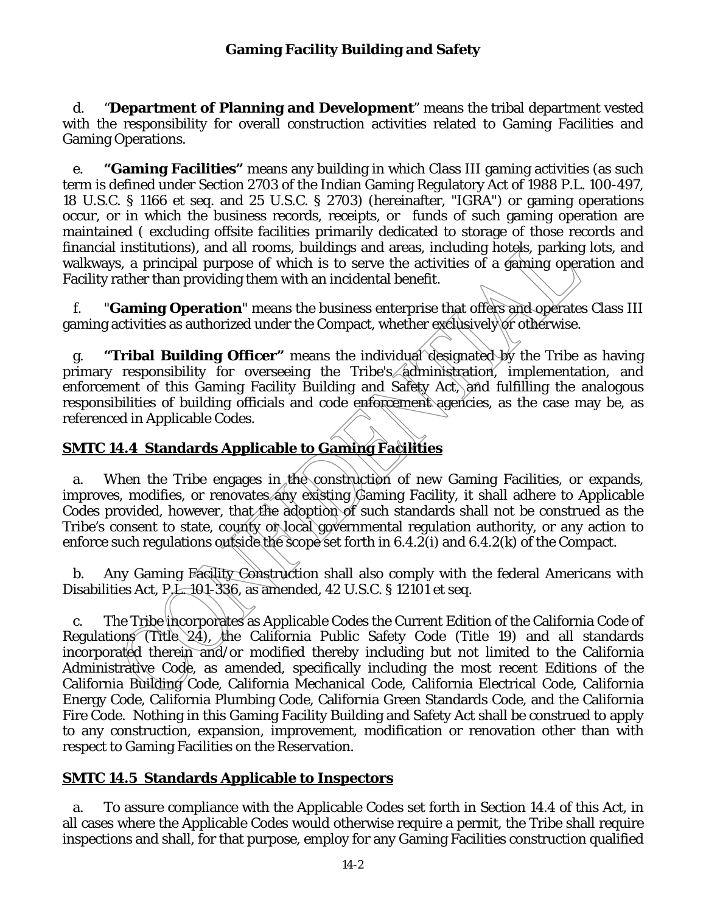d. "**Department of Planning and Development**" means the tribal department vested with the responsibility for overall construction activities related to Gaming Facilities and Gaming Operations.

e. **"Gaming Facilities"** means any building in which Class III gaming activities (as such term is defined under Section 2703 of the Indian Gaming Regulatory Act of 1988 P.L. 100-497, 18 U.S.C. § 1166 et seq. and 25 U.S.C. § 2703) (hereinafter, "IGRA") or gaming operations occur, or in which the business records, receipts, or funds of such gaming operation are maintained ( excluding offsite facilities primarily dedicated to storage of those records and financial institutions), and all rooms, buildings and areas, including hotels, parking lots, and walkways, a principal purpose of which is to serve the activities of a gaming operation and Facility rather than providing them with an incidental benefit.

f. "**Gaming Operation**" means the business enterprise that offers and operates Class III gaming activities as authorized under the Compact, whether exclusively or otherwise.

g. **"Tribal Building Officer"** means the individual designated by the Tribe as having primary responsibility for overseeing the Tribe's administration, implementation, and enforcement of this Gaming Facility Building and Safety Act, and fulfilling the analogous responsibilities of building officials and code enforcement agencies, as the case may be, as referenced in Applicable Codes.

## **SMTC 14.4 Standards Applicable to Gaming Facilities**

a. When the Tribe engages in the construction of new Gaming Facilities, or expands, improves, modifies, or renovates any existing Gaming Facility, it shall adhere to Applicable Codes provided, however, that the adoption of such standards shall not be construed as the Tribe's consent to state, county or local governmental regulation authority, or any action to enforce such regulations outside the scope set forth in 6.4.2(i) and 6.4.2(k) of the Compact.

b. Any Gaming Facility Construction shall also comply with the federal Americans with Disabilities Act, P.L. 101-336, as amended, 42 U.S.C. § 12101 et seq.

c. The Tribe incorporates as Applicable Codes the Current Edition of the California Code of Regulations (Title 24), the California Public Safety Code (Title 19) and all standards incorporated therein and/or modified thereby including but not limited to the California Administrative Code, as amended, specifically including the most recent Editions of the California Building Code, California Mechanical Code, California Electrical Code, California Energy Code, California Plumbing Code, California Green Standards Code, and the California Fire Code. Nothing in this Gaming Facility Building and Safety Act shall be construed to apply to any construction, expansion, improvement, modification or renovation other than with respect to Gaming Facilities on the Reservation.

### **SMTC 14.5 Standards Applicable to Inspectors**

a. To assure compliance with the Applicable Codes set forth in Section 14.4 of this Act, in all cases where the Applicable Codes would otherwise require a permit, the Tribe shall require inspections and shall, for that purpose, employ for any Gaming Facilities construction qualified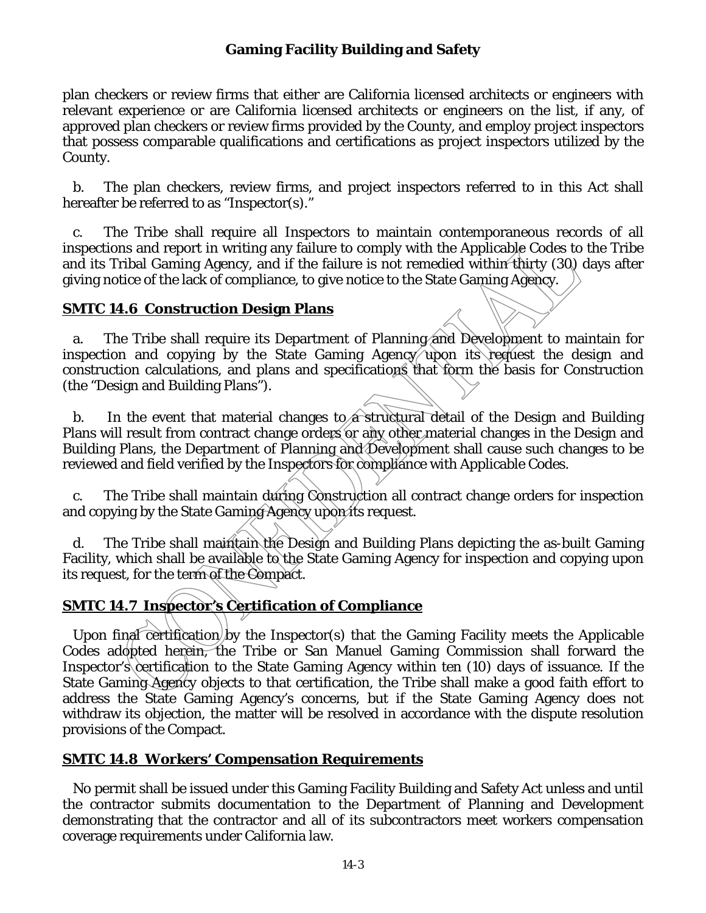plan checkers or review firms that either are California licensed architects or engineers with relevant experience or are California licensed architects or engineers on the list, if any, of approved plan checkers or review firms provided by the County, and employ project inspectors that possess comparable qualifications and certifications as project inspectors utilized by the County.

b. The plan checkers, review firms, and project inspectors referred to in this Act shall hereafter be referred to as "Inspector(s)."

c. The Tribe shall require all Inspectors to maintain contemporaneous records of all inspections and report in writing any failure to comply with the Applicable Codes to the Tribe and its Tribal Gaming Agency, and if the failure is not remedied within thirty (30) days after giving notice of the lack of compliance, to give notice to the State Gaming Agency.

### **SMTC 14.6 Construction Design Plans**

a. The Tribe shall require its Department of Planning and Development to maintain for inspection and copying by the State Gaming Agency upon its request the design and construction calculations, and plans and specifications that form the basis for Construction (the "Design and Building Plans").

b. In the event that material changes to a structural detail of the Design and Building Plans will result from contract change orders or any other material changes in the Design and Building Plans, the Department of Planning and Development shall cause such changes to be reviewed and field verified by the Inspectors for compliance with Applicable Codes.

c. The Tribe shall maintain during Construction all contract change orders for inspection and copying by the State Gaming Agency upon its request.

d. The Tribe shall maintain the Design and Building Plans depicting the as-built Gaming Facility, which shall be available to the State Gaming Agency for inspection and copying upon its request, for the term of the Compact.

# **SMTC 14.7 Inspector's Certification of Compliance**

Upon final certification by the Inspector(s) that the Gaming Facility meets the Applicable Codes adopted herein, the Tribe or San Manuel Gaming Commission shall forward the Inspector's certification to the State Gaming Agency within ten (10) days of issuance. If the State Gaming Agency objects to that certification, the Tribe shall make a good faith effort to address the State Gaming Agency's concerns, but if the State Gaming Agency does not withdraw its objection, the matter will be resolved in accordance with the dispute resolution provisions of the Compact.

### **SMTC 14.8 Workers' Compensation Requirements**

No permit shall be issued under this Gaming Facility Building and Safety Act unless and until the contractor submits documentation to the Department of Planning and Development demonstrating that the contractor and all of its subcontractors meet workers compensation coverage requirements under California law.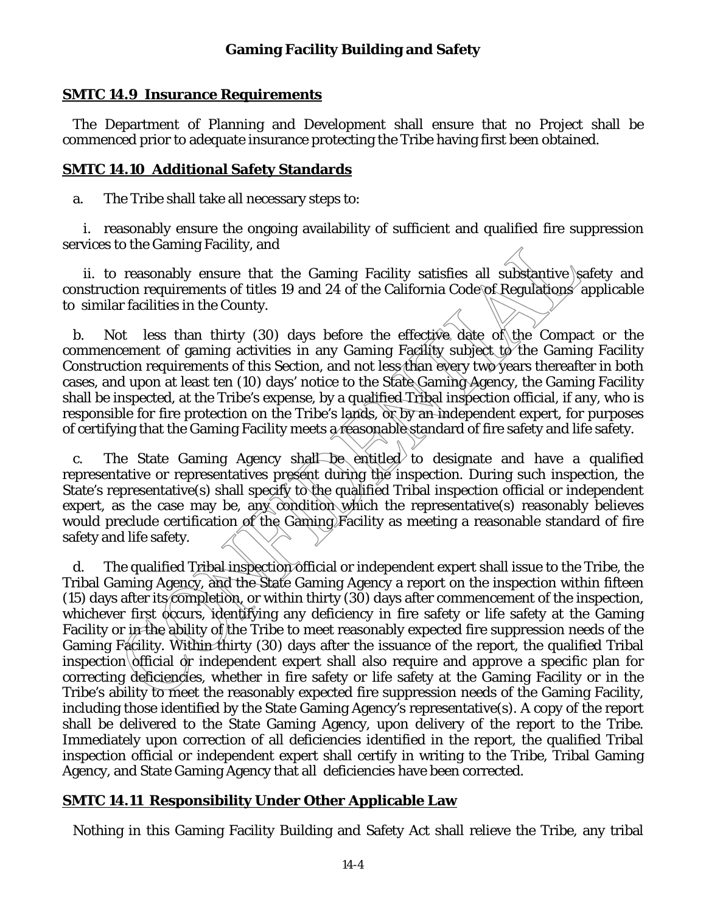#### **SMTC 14.9 Insurance Requirements**

The Department of Planning and Development shall ensure that no Project shall be commenced prior to adequate insurance protecting the Tribe having first been obtained.

#### **SMTC 14.10 Additional Safety Standards**

a. The Tribe shall take all necessary steps to:

 i. reasonably ensure the ongoing availability of sufficient and qualified fire suppression services to the Gaming Facility, and

ii. to reasonably ensure that the Gaming Facility satisfies all substantive safety and construction requirements of titles 19 and 24 of the California Code of Regulations applicable to similar facilities in the County.

b. Not less than thirty (30) days before the effective date of the Compact or the commencement of gaming activities in any Gaming Facility subject to the Gaming Facility Construction requirements of this Section, and not less than every two years thereafter in both cases, and upon at least ten (10) days' notice to the State Gaming Agency, the Gaming Facility shall be inspected, at the Tribe's expense, by a qualified Tribal inspection official, if any, who is responsible for fire protection on the Tribe's lands, or by an independent expert, for purposes of certifying that the Gaming Facility meets a reasonable standard of fire safety and life safety.

c. The State Gaming Agency shall be entitled to designate and have a qualified representative or representatives present during the inspection. During such inspection, the State's representative(s) shall specify to the qualified Tribal inspection official or independent expert, as the case may be, any condition which the representative(s) reasonably believes would preclude certification of the Gaming Facility as meeting a reasonable standard of fire safety and life safety.

d. The qualified Tribal inspection official or independent expert shall issue to the Tribe, the Tribal Gaming Agency, and the State Gaming Agency a report on the inspection within fifteen (15) days after its completion, or within thirty (30) days after commencement of the inspection, whichever first occurs, identifying any deficiency in fire safety or life safety at the Gaming Facility or in the ability of the Tribe to meet reasonably expected fire suppression needs of the Gaming Facility. Within thirty (30) days after the issuance of the report, the qualified Tribal inspection official or independent expert shall also require and approve a specific plan for correcting deficiencies, whether in fire safety or life safety at the Gaming Facility or in the Tribe's ability to meet the reasonably expected fire suppression needs of the Gaming Facility, including those identified by the State Gaming Agency's representative(s). A copy of the report shall be delivered to the State Gaming Agency, upon delivery of the report to the Tribe. Immediately upon correction of all deficiencies identified in the report, the qualified Tribal inspection official or independent expert shall certify in writing to the Tribe, Tribal Gaming Agency, and State Gaming Agency that all deficiencies have been corrected.

### **SMTC 14.11 Responsibility Under Other Applicable Law**

Nothing in this Gaming Facility Building and Safety Act shall relieve the Tribe, any tribal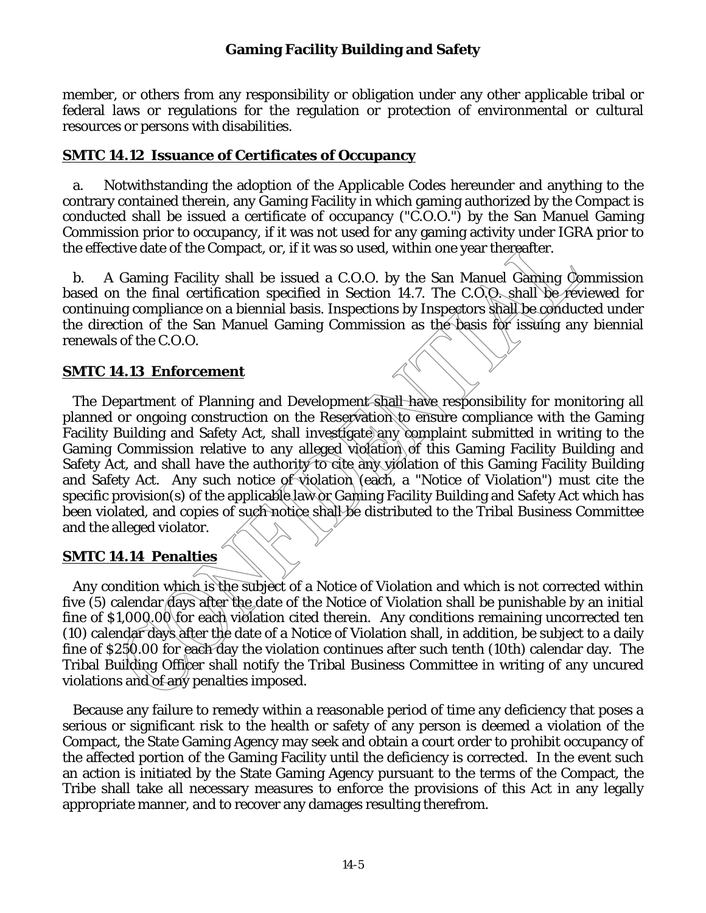member, or others from any responsibility or obligation under any other applicable tribal or federal laws or regulations for the regulation or protection of environmental or cultural resources or persons with disabilities.

#### **SMTC 14.12 Issuance of Certificates of Occupancy**

a. Notwithstanding the adoption of the Applicable Codes hereunder and anything to the contrary contained therein, any Gaming Facility in which gaming authorized by the Compact is conducted shall be issued a certificate of occupancy ("C.O.O.") by the San Manuel Gaming Commission prior to occupancy, if it was not used for any gaming activity under IGRA prior to the effective date of the Compact, or, if it was so used, within one year thereafter.

b. A Gaming Facility shall be issued a C.O.O. by the San Manuel Gaming Commission based on the final certification specified in Section 14.7. The C.O.O. shall be reviewed for continuing compliance on a biennial basis. Inspections by Inspectors shall be conducted under the direction of the San Manuel Gaming Commission as the basis for issuing any biennial renewals of the C.O.O.

### **SMTC 14.13 Enforcement**

The Department of Planning and Development shall have responsibility for monitoring all planned or ongoing construction on the Reservation to ensure compliance with the Gaming Facility Building and Safety Act, shall investigate any complaint submitted in writing to the Gaming Commission relative to any alleged violation of this Gaming Facility Building and Safety Act, and shall have the authority to cite any violation of this Gaming Facility Building and Safety Act. Any such notice of violation (each, a "Notice of Violation") must cite the specific provision(s) of the applicable law or Gaming Facility Building and Safety Act which has been violated, and copies of such notice shall be distributed to the Tribal Business Committee and the alleged violator.

#### **SMTC 14.14 Penalties**

Any condition which is the subject of a Notice of Violation and which is not corrected within five (5) calendar days after the date of the Notice of Violation shall be punishable by an initial fine of \$1,000,00 for each violation cited therein. Any conditions remaining uncorrected ten (10) calendar days after the date of a Notice of Violation shall, in addition, be subject to a daily fine of \$250.00 for each day the violation continues after such tenth (10th) calendar day. The Tribal Building Officer shall notify the Tribal Business Committee in writing of any uncured violations and of any penalties imposed.

Because any failure to remedy within a reasonable period of time any deficiency that poses a serious or significant risk to the health or safety of any person is deemed a violation of the Compact, the State Gaming Agency may seek and obtain a court order to prohibit occupancy of the affected portion of the Gaming Facility until the deficiency is corrected. In the event such an action is initiated by the State Gaming Agency pursuant to the terms of the Compact, the Tribe shall take all necessary measures to enforce the provisions of this Act in any legally appropriate manner, and to recover any damages resulting therefrom.